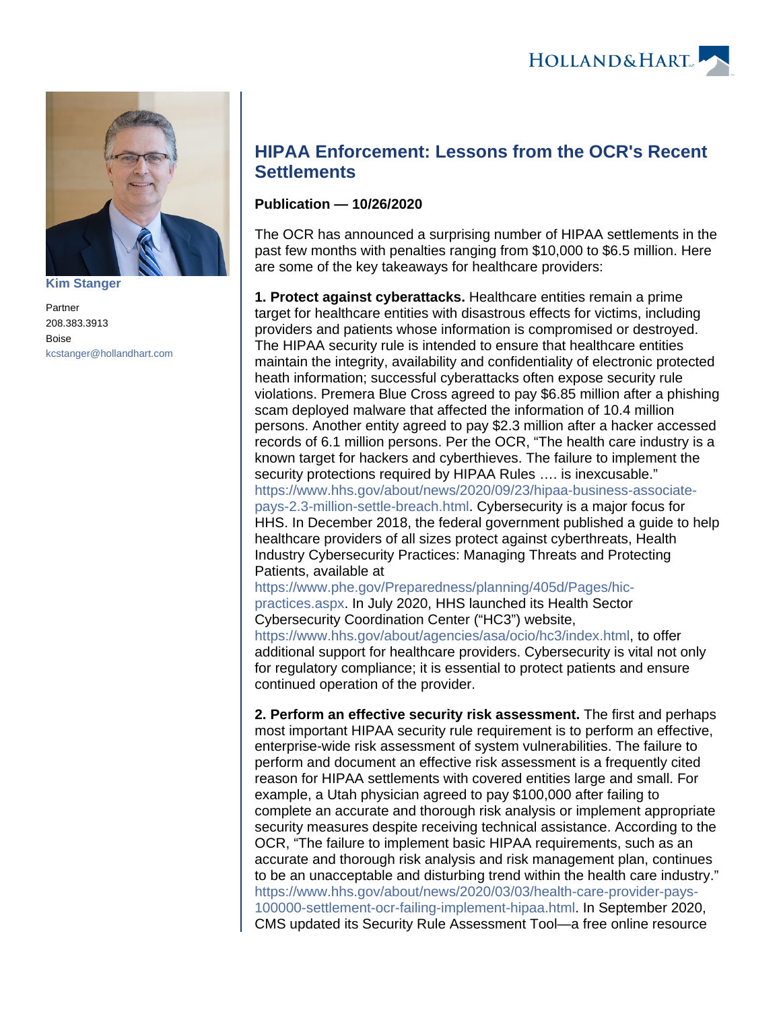

**[Kim Stanger](https://www.hollandhart.com/15954)**

Partner 208.383.3913 Boise [kcstanger@hollandhart.com](mailto:kcstanger@hollandhart.com)

## **HIPAA Enforcement: Lessons from the OCR's Recent Settlements**

## **Publication — 10/26/2020**

The OCR has announced a surprising number of HIPAA settlements in the past few months with penalties ranging from \$10,000 to \$6.5 million. Here are some of the key takeaways for healthcare providers:

**1. Protect against cyberattacks.** Healthcare entities remain a prime target for healthcare entities with disastrous effects for victims, including providers and patients whose information is compromised or destroyed. The HIPAA security rule is intended to ensure that healthcare entities maintain the integrity, availability and confidentiality of electronic protected heath information; successful cyberattacks often expose security rule violations. Premera Blue Cross agreed to pay \$6.85 million after a phishing scam deployed malware that affected the information of 10.4 million persons. Another entity agreed to pay \$2.3 million after a hacker accessed records of 6.1 million persons. Per the OCR, "The health care industry is a known target for hackers and cyberthieves. The failure to implement the security protections required by HIPAA Rules …. is inexcusable." [https://www.hhs.gov/about/news/2020/09/23/hipaa-business-associate](https://www.hhs.gov/about/news/2020/09/23/hipaa-business-associate-pays-2.3-million-settle-breach.html)[pays-2.3-million-settle-breach.html.](https://www.hhs.gov/about/news/2020/09/23/hipaa-business-associate-pays-2.3-million-settle-breach.html) Cybersecurity is a major focus for HHS. In December 2018, the federal government published a guide to help healthcare providers of all sizes protect against cyberthreats, Health Industry Cybersecurity Practices: Managing Threats and Protecting Patients, available at

[https://www.phe.gov/Preparedness/planning/405d/Pages/hic](https://www.phe.gov/Preparedness/planning/405d/Pages/hic-practices.aspx)[practices.aspx](https://www.phe.gov/Preparedness/planning/405d/Pages/hic-practices.aspx). In July 2020, HHS launched its Health Sector Cybersecurity Coordination Center ("HC3") website, [https://www.hhs.gov/about/agencies/asa/ocio/hc3/index.html,](https://www.hhs.gov/about/agencies/asa/ocio/hc3/index.html) to offer additional support for healthcare providers. Cybersecurity is vital not only for regulatory compliance; it is essential to protect patients and ensure continued operation of the provider.

**2. Perform an effective security risk assessment.** The first and perhaps most important HIPAA security rule requirement is to perform an effective, enterprise-wide risk assessment of system vulnerabilities. The failure to perform and document an effective risk assessment is a frequently cited reason for HIPAA settlements with covered entities large and small. For example, a Utah physician agreed to pay \$100,000 after failing to complete an accurate and thorough risk analysis or implement appropriate security measures despite receiving technical assistance. According to the OCR, "The failure to implement basic HIPAA requirements, such as an accurate and thorough risk analysis and risk management plan, continues to be an unacceptable and disturbing trend within the health care industry." [https://www.hhs.gov/about/news/2020/03/03/health-care-provider-pays-](https://www.hhs.gov/about/news/2020/03/03/health-care-provider-pays-100000-settlement-ocr-failing-implement-hipaa.html)[100000-settlement-ocr-failing-implement-hipaa.html](https://www.hhs.gov/about/news/2020/03/03/health-care-provider-pays-100000-settlement-ocr-failing-implement-hipaa.html). In September 2020, CMS updated its Security Rule Assessment Tool—a free online resource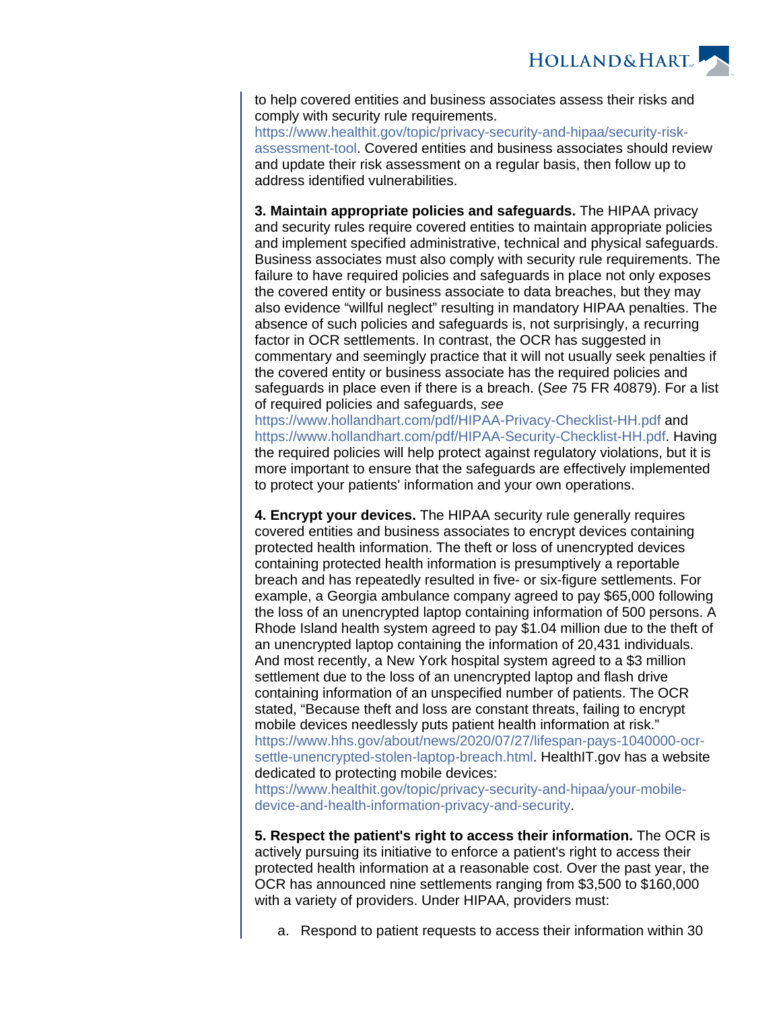

to help covered entities and business associates assess their risks and comply with security rule requirements.

[https://www.healthit.gov/topic/privacy-security-and-hipaa/security-risk](https://www.healthit.gov/topic/privacy-security-and-hipaa/security-risk-assessment-tool)[assessment-tool.](https://www.healthit.gov/topic/privacy-security-and-hipaa/security-risk-assessment-tool) Covered entities and business associates should review and update their risk assessment on a regular basis, then follow up to address identified vulnerabilities.

**3. Maintain appropriate policies and safeguards.** The HIPAA privacy and security rules require covered entities to maintain appropriate policies and implement specified administrative, technical and physical safeguards. Business associates must also comply with security rule requirements. The failure to have required policies and safeguards in place not only exposes the covered entity or business associate to data breaches, but they may also evidence "willful neglect" resulting in mandatory HIPAA penalties. The absence of such policies and safeguards is, not surprisingly, a recurring factor in OCR settlements. In contrast, the OCR has suggested in commentary and seemingly practice that it will not usually seek penalties if the covered entity or business associate has the required policies and safeguards in place even if there is a breach. (See 75 FR 40879). For a list of required policies and safeguards, see

<https://www.hollandhart.com/pdf/HIPAA-Privacy-Checklist-HH.pdf> and [https://www.hollandhart.com/pdf/HIPAA-Security-Checklist-HH.pdf.](https://www.hollandhart.com/pdf/HIPAA-Security-Checklist-HH.pdf) Having the required policies will help protect against regulatory violations, but it is more important to ensure that the safeguards are effectively implemented to protect your patients' information and your own operations.

**4. Encrypt your devices.** The HIPAA security rule generally requires covered entities and business associates to encrypt devices containing protected health information. The theft or loss of unencrypted devices containing protected health information is presumptively a reportable breach and has repeatedly resulted in five- or six-figure settlements. For example, a Georgia ambulance company agreed to pay \$65,000 following the loss of an unencrypted laptop containing information of 500 persons. A Rhode Island health system agreed to pay \$1.04 million due to the theft of an unencrypted laptop containing the information of 20,431 individuals. And most recently, a New York hospital system agreed to a \$3 million settlement due to the loss of an unencrypted laptop and flash drive containing information of an unspecified number of patients. The OCR stated, "Because theft and loss are constant threats, failing to encrypt mobile devices needlessly puts patient health information at risk." [https://www.hhs.gov/about/news/2020/07/27/lifespan-pays-1040000-ocr](https://www.hhs.gov/about/news/2020/07/27/lifespan-pays-1040000-ocr-settle-unencrypted-stolen-laptop-breach.html)[settle-unencrypted-stolen-laptop-breach.html](https://www.hhs.gov/about/news/2020/07/27/lifespan-pays-1040000-ocr-settle-unencrypted-stolen-laptop-breach.html). HealthIT.gov has a website dedicated to protecting mobile devices:

[https://www.healthit.gov/topic/privacy-security-and-hipaa/your-mobile](https://www.healthit.gov/topic/privacy-security-and-hipaa/your-mobile-device-and-health-information-privacy-and-security)[device-and-health-information-privacy-and-security](https://www.healthit.gov/topic/privacy-security-and-hipaa/your-mobile-device-and-health-information-privacy-and-security).

**5. Respect the patient's right to access their information.** The OCR is actively pursuing its initiative to enforce a patient's right to access their protected health information at a reasonable cost. Over the past year, the OCR has announced nine settlements ranging from \$3,500 to \$160,000 with a variety of providers. Under HIPAA, providers must:

a. Respond to patient requests to access their information within 30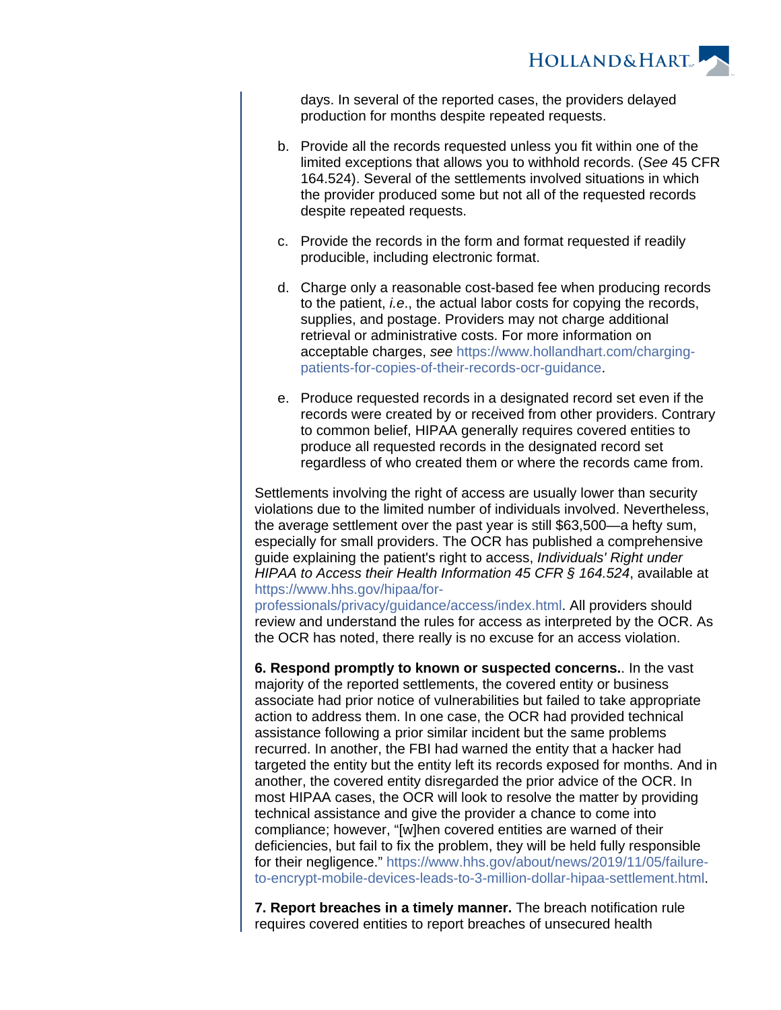

days. In several of the reported cases, the providers delayed production for months despite repeated requests.

- b. Provide all the records requested unless you fit within one of the limited exceptions that allows you to withhold records. (See 45 CFR 164.524). Several of the settlements involved situations in which the provider produced some but not all of the requested records despite repeated requests.
- c. Provide the records in the form and format requested if readily producible, including electronic format.
- d. Charge only a reasonable cost-based fee when producing records to the patient, i.e., the actual labor costs for copying the records, supplies, and postage. Providers may not charge additional retrieval or administrative costs. For more information on acceptable charges, see [https://www.hollandhart.com/charging](https://www.hollandhart.com/charging-patients-for-copies-of-their-records-ocr-guidance)[patients-for-copies-of-their-records-ocr-guidance.](https://www.hollandhart.com/charging-patients-for-copies-of-their-records-ocr-guidance)
- e. Produce requested records in a designated record set even if the records were created by or received from other providers. Contrary to common belief, HIPAA generally requires covered entities to produce all requested records in the designated record set regardless of who created them or where the records came from.

Settlements involving the right of access are usually lower than security violations due to the limited number of individuals involved. Nevertheless, the average settlement over the past year is still \$63,500—a hefty sum, especially for small providers. The OCR has published a comprehensive guide explaining the patient's right to access, Individuals' Right under HIPAA to Access their Health Information 45 CFR § 164.524, available at [https://www.hhs.gov/hipaa/for-](https://www.hhs.gov/hipaa/for-professionals/privacy/guidance/access/index.html)

[professionals/privacy/guidance/access/index.html.](https://www.hhs.gov/hipaa/for-professionals/privacy/guidance/access/index.html) All providers should review and understand the rules for access as interpreted by the OCR. As the OCR has noted, there really is no excuse for an access violation.

**6. Respond promptly to known or suspected concerns.**. In the vast majority of the reported settlements, the covered entity or business associate had prior notice of vulnerabilities but failed to take appropriate action to address them. In one case, the OCR had provided technical assistance following a prior similar incident but the same problems recurred. In another, the FBI had warned the entity that a hacker had targeted the entity but the entity left its records exposed for months. And in another, the covered entity disregarded the prior advice of the OCR. In most HIPAA cases, the OCR will look to resolve the matter by providing technical assistance and give the provider a chance to come into compliance; however, "[w]hen covered entities are warned of their deficiencies, but fail to fix the problem, they will be held fully responsible for their negligence." [https://www.hhs.gov/about/news/2019/11/05/failure](https://www.hhs.gov/about/news/2019/11/05/failure-to-encrypt-mobile-devices-leads-to-3-million-dollar-hipaa-settlement.html)[to-encrypt-mobile-devices-leads-to-3-million-dollar-hipaa-settlement.html.](https://www.hhs.gov/about/news/2019/11/05/failure-to-encrypt-mobile-devices-leads-to-3-million-dollar-hipaa-settlement.html)

**7. Report breaches in a timely manner.** The breach notification rule requires covered entities to report breaches of unsecured health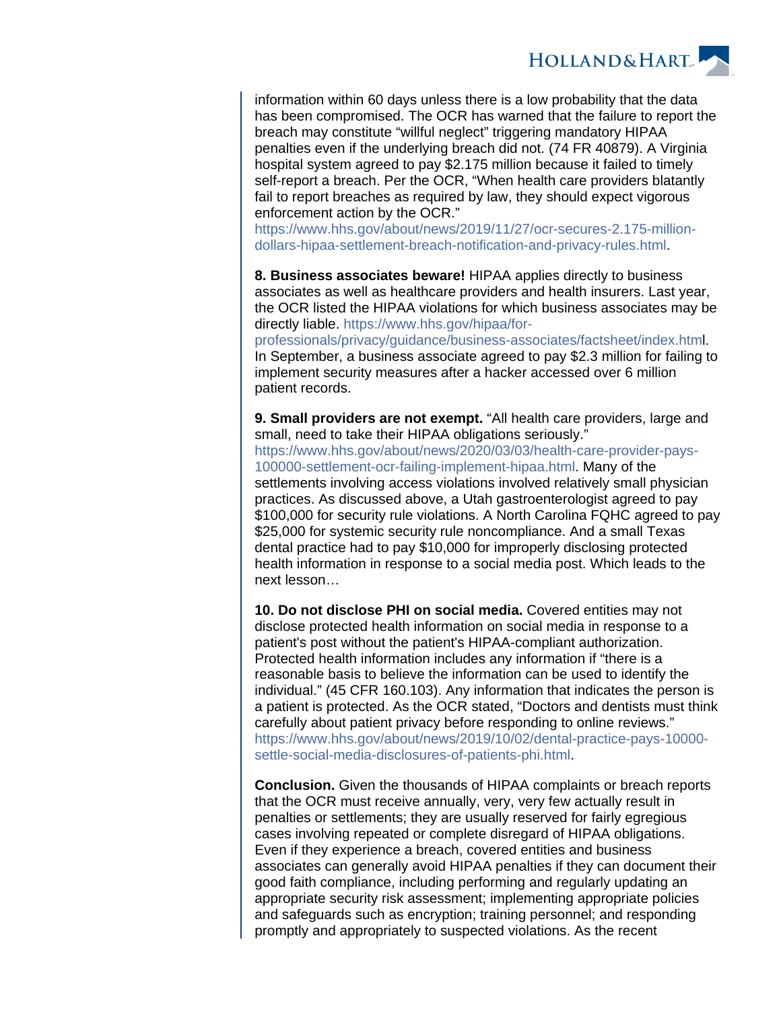**HOLLAND&HART** 

information within 60 days unless there is a low probability that the data has been compromised. The OCR has warned that the failure to report the breach may constitute "willful neglect" triggering mandatory HIPAA penalties even if the underlying breach did not. (74 FR 40879). A Virginia hospital system agreed to pay \$2.175 million because it failed to timely self-report a breach. Per the OCR, "When health care providers blatantly fail to report breaches as required by law, they should expect vigorous enforcement action by the OCR."

[https://www.hhs.gov/about/news/2019/11/27/ocr-secures-2.175-million](https://www.hhs.gov/about/news/2019/11/27/ocr-secures-2.175-million-dollars-hipaa-settlement-breach-notification-and-privacy-rules.html)[dollars-hipaa-settlement-breach-notification-and-privacy-rules.html.](https://www.hhs.gov/about/news/2019/11/27/ocr-secures-2.175-million-dollars-hipaa-settlement-breach-notification-and-privacy-rules.html)

**8. Business associates beware!** HIPAA applies directly to business associates as well as healthcare providers and health insurers. Last year, the OCR listed the HIPAA violations for which business associates may be directly liable. [https://www.hhs.gov/hipaa/for-](https://www.hhs.gov/hipaa/for-professionals/privacy/guidance/business-associates/factsheet/index.htm)

[professionals/privacy/guidance/business-associates/factsheet/index.html](https://www.hhs.gov/hipaa/for-professionals/privacy/guidance/business-associates/factsheet/index.htm). In September, a business associate agreed to pay \$2.3 million for failing to implement security measures after a hacker accessed over 6 million patient records.

**9. Small providers are not exempt.** "All health care providers, large and small, need to take their HIPAA obligations seriously." [https://www.hhs.gov/about/news/2020/03/03/health-care-provider-pays-](https://www.hhs.gov/about/news/2020/03/03/health-care-provider-pays-100000-settlement-ocr-failing-implement-hipaa.html)[100000-settlement-ocr-failing-implement-hipaa.html](https://www.hhs.gov/about/news/2020/03/03/health-care-provider-pays-100000-settlement-ocr-failing-implement-hipaa.html). Many of the settlements involving access violations involved relatively small physician practices. As discussed above, a Utah gastroenterologist agreed to pay \$100,000 for security rule violations. A North Carolina FQHC agreed to pay \$25,000 for systemic security rule noncompliance. And a small Texas dental practice had to pay \$10,000 for improperly disclosing protected health information in response to a social media post. Which leads to the next lesson…

**10. Do not disclose PHI on social media.** Covered entities may not disclose protected health information on social media in response to a patient's post without the patient's HIPAA-compliant authorization. Protected health information includes any information if "there is a reasonable basis to believe the information can be used to identify the individual." (45 CFR 160.103). Any information that indicates the person is a patient is protected. As the OCR stated, "Doctors and dentists must think carefully about patient privacy before responding to online reviews." [https://www.hhs.gov/about/news/2019/10/02/dental-practice-pays-10000](https://www.hhs.gov/about/news/2019/10/02/dental-practice-pays-10000-settle-social-media-disclosures-of-patients-phi.html) [settle-social-media-disclosures-of-patients-phi.html](https://www.hhs.gov/about/news/2019/10/02/dental-practice-pays-10000-settle-social-media-disclosures-of-patients-phi.html).

**Conclusion.** Given the thousands of HIPAA complaints or breach reports that the OCR must receive annually, very, very few actually result in penalties or settlements; they are usually reserved for fairly egregious cases involving repeated or complete disregard of HIPAA obligations. Even if they experience a breach, covered entities and business associates can generally avoid HIPAA penalties if they can document their good faith compliance, including performing and regularly updating an appropriate security risk assessment; implementing appropriate policies and safeguards such as encryption; training personnel; and responding promptly and appropriately to suspected violations. As the recent